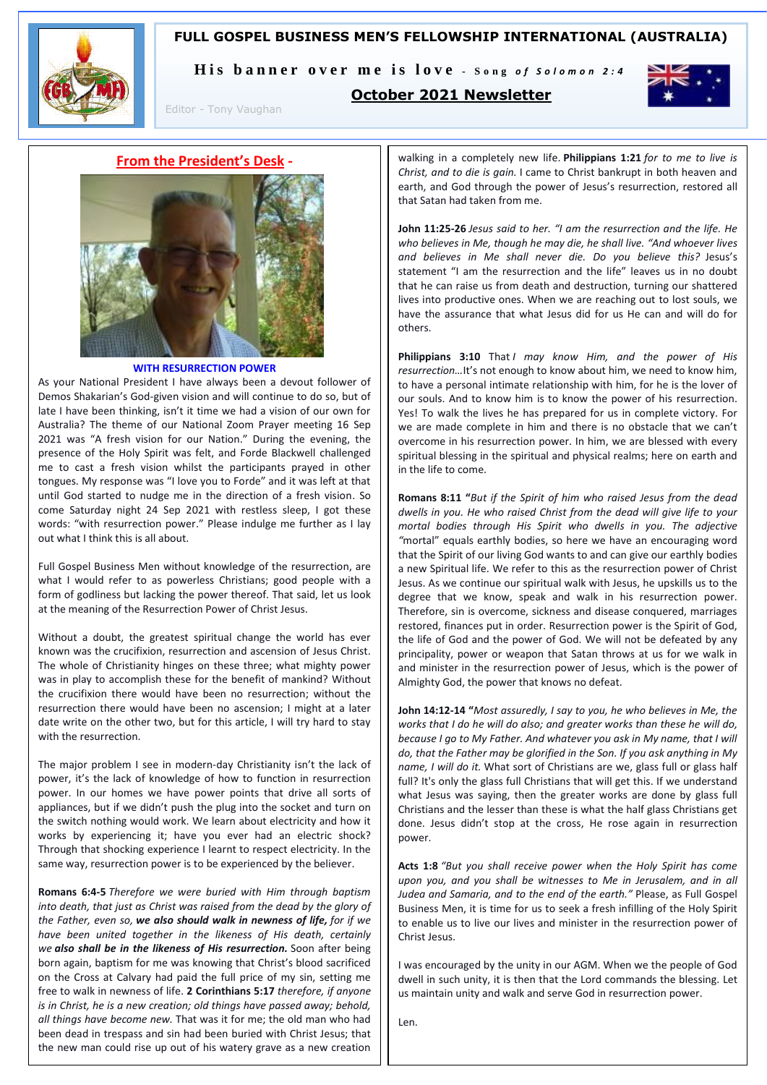# **FULL GOSPEL BUSINESS MEN'S FELLOWSHIP INTERNATIONAL (AUSTRALIA)**



His banner over me is love - Song of Solomon 2:4

**October 2021 Newsletter**



Editor - Tony Vaughan

**From the President's Desk -**



#### **WITH RESURRECTION POWER**

As your National President I have always been a devout follower of Demos Shakarian's God-given vision and will continue to do so, but of late I have been thinking, isn't it time we had a vision of our own for Australia? The theme of our National Zoom Prayer meeting 16 Sep 2021 was "A fresh vision for our Nation." During the evening, the presence of the Holy Spirit was felt, and Forde Blackwell challenged me to cast a fresh vision whilst the participants prayed in other tongues. My response was "I love you to Forde" and it was left at that until God started to nudge me in the direction of a fresh vision. So come Saturday night 24 Sep 2021 with restless sleep, I got these words: "with resurrection power." Please indulge me further as I lay out what I think this is all about.

Full Gospel Business Men without knowledge of the resurrection, are what I would refer to as powerless Christians; good people with a form of godliness but lacking the power thereof. That said, let us look at the meaning of the Resurrection Power of Christ Jesus.

Without a doubt, the greatest spiritual change the world has ever known was the crucifixion, resurrection and ascension of Jesus Christ. The whole of Christianity hinges on these three; what mighty power was in play to accomplish these for the benefit of mankind? Without the crucifixion there would have been no resurrection; without the resurrection there would have been no ascension; I might at a later date write on the other two, but for this article, I will try hard to stay with the resurrection.

The major problem I see in modern-day Christianity isn't the lack of power, it's the lack of knowledge of how to function in resurrection power. In our homes we have power points that drive all sorts of appliances, but if we didn't push the plug into the socket and turn on the switch nothing would work. We learn about electricity and how it works by experiencing it; have you ever had an electric shock? Through that shocking experience I learnt to respect electricity. In the same way, resurrection power is to be experienced by the believer.

**Romans 6:4-5** *Therefore we were buried with Him through baptism into death, that just as Christ was raised from the dead by the glory of the Father, even so, we also should walk in newness of life, for if we have been united together in the likeness of His death, certainly we also shall be in the likeness of His resurrection.* Soon after being born again, baptism for me was knowing that Christ's blood sacrificed on the Cross at Calvary had paid the full price of my sin, setting me free to walk in newness of life. **2 Corinthians 5:17** *therefore, if anyone is in Christ, he is a new creation; old things have passed away; behold, all things have become new.* That was it for me; the old man who had been dead in trespass and sin had been buried with Christ Jesus; that the new man could rise up out of his watery grave as a new creation

walking in a completely new life. **Philippians 1:21** *for to me to live is Christ, and to die is gain.* I came to Christ bankrupt in both heaven and earth, and God through the power of Jesus's resurrection, restored all that Satan had taken from me.

**John 11:25-26** *Jesus said to her. "I am the resurrection and the life. He who believes in Me, though he may die, he shall live. "And whoever lives and believes in Me shall never die. Do you believe this?* Jesus's statement "I am the resurrection and the life" leaves us in no doubt that he can raise us from death and destruction, turning our shattered lives into productive ones. When we are reaching out to lost souls, we have the assurance that what Jesus did for us He can and will do for others.

**Philippians 3:10** That *I may know Him, and the power of His resurrection…*It's not enough to know about him, we need to know him, to have a personal intimate relationship with him, for he is the lover of our souls. And to know him is to know the power of his resurrection. Yes! To walk the lives he has prepared for us in complete victory. For we are made complete in him and there is no obstacle that we can't overcome in his resurrection power. In him, we are blessed with every spiritual blessing in the spiritual and physical realms; here on earth and in the life to come.

**Romans 8:11 "***But if the Spirit of him who raised Jesus from the dead dwells in you. He who raised Christ from the dead will give life to your mortal bodies through His Spirit who dwells in you. The adjective "*mortal" equals earthly bodies, so here we have an encouraging word that the Spirit of our living God wants to and can give our earthly bodies a new Spiritual life. We refer to this as the resurrection power of Christ Jesus. As we continue our spiritual walk with Jesus, he upskills us to the degree that we know, speak and walk in his resurrection power. Therefore, sin is overcome, sickness and disease conquered, marriages restored, finances put in order. Resurrection power is the Spirit of God, the life of God and the power of God. We will not be defeated by any principality, power or weapon that Satan throws at us for we walk in and minister in the resurrection power of Jesus, which is the power of Almighty God, the power that knows no defeat.

**John 14:12-14 "***Most assuredly, I say to you, he who believes in Me, the works that I do he will do also; and greater works than these he will do, because I go to My Father. And whatever you ask in My name, that I will do, that the Father may be glorified in the Son. If you ask anything in My name, I will do it.* What sort of Christians are we, glass full or glass half full? It's only the glass full Christians that will get this. If we understand what Jesus was saying, then the greater works are done by glass full Christians and the lesser than these is what the half glass Christians get done. Jesus didn't stop at the cross, He rose again in resurrection power.

**Acts 1:8** *"But you shall receive power when the Holy Spirit has come upon you, and you shall be witnesses to Me in Jerusalem, and in all Judea and Samaria, and to the end of the earth."* Please, as Full Gospel Business Men, it is time for us to seek a fresh infilling of the Holy Spirit to enable us to live our lives and minister in the resurrection power of Christ Jesus.

I was encouraged by the unity in our AGM. When we the people of God dwell in such unity, it is then that the Lord commands the blessing. Let us maintain unity and walk and serve God in resurrection power.

Len.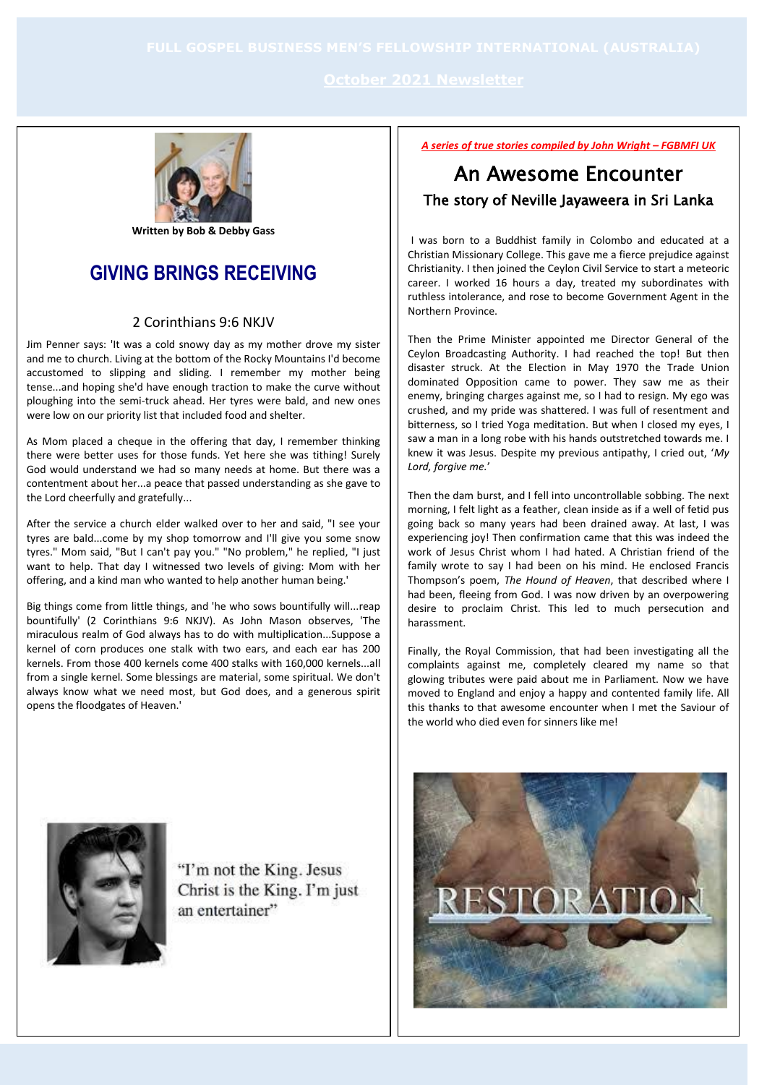

**Written by Bob & Debby Gass**

# **GIVING BRINGS RECEIVING**

## 2 Corinthians 9:6 NKJV

Jim Penner says: 'It was a cold snowy day as my mother drove my sister and me to church. Living at the bottom of the Rocky Mountains I'd become accustomed to slipping and sliding. I remember my mother being tense...and hoping she'd have enough traction to make the curve without ploughing into the semi-truck ahead. Her tyres were bald, and new ones were low on our priority list that included food and shelter.

As Mom placed a cheque in the offering that day, I remember thinking there were better uses for those funds. Yet here she was tithing! Surely God would understand we had so many needs at home. But there was a contentment about her...a peace that passed understanding as she gave to the Lord cheerfully and gratefully...

After the service a church elder walked over to her and said, "I see your tyres are bald...come by my shop tomorrow and I'll give you some snow tyres." Mom said, "But I can't pay you." "No problem," he replied, "I just want to help. That day I witnessed two levels of giving: Mom with her offering, and a kind man who wanted to help another human being.'

Big things come from little things, and 'he who sows bountifully will...reap bountifully' (2 Corinthians 9:6 NKJV). As John Mason observes, 'The miraculous realm of God always has to do with multiplication...Suppose a kernel of corn produces one stalk with two ears, and each ear has 200 kernels. From those 400 kernels come 400 stalks with 160,000 kernels...all from a single kernel. Some blessings are material, some spiritual. We don't always know what we need most, but God does, and a generous spirit opens the floodgates of Heaven.'

*A series of true stories compiled by John Wright – FGBMFI UK*

# An Awesome Encounter The story of Neville Jayaweera in Sri Lanka

I was born to a Buddhist family in Colombo and educated at a Christian Missionary College. This gave me a fierce prejudice against Christianity. I then joined the Ceylon Civil Service to start a meteoric career. I worked 16 hours a day, treated my subordinates with ruthless intolerance, and rose to become Government Agent in the Northern Province.

Then the Prime Minister appointed me Director General of the Ceylon Broadcasting Authority. I had reached the top! But then disaster struck. At the Election in May 1970 the Trade Union dominated Opposition came to power. They saw me as their enemy, bringing charges against me, so I had to resign. My ego was crushed, and my pride was shattered. I was full of resentment and bitterness, so I tried Yoga meditation. But when I closed my eyes, I saw a man in a long robe with his hands outstretched towards me. I knew it was Jesus. Despite my previous antipathy, I cried out, '*My Lord, forgive me.*'

Then the dam burst, and I fell into uncontrollable sobbing. The next morning, I felt light as a feather, clean inside as if a well of fetid pus going back so many years had been drained away. At last, I was experiencing joy! Then confirmation came that this was indeed the work of Jesus Christ whom I had hated. A Christian friend of the family wrote to say I had been on his mind. He enclosed Francis Thompson's poem, *The Hound of Heaven*, that described where I had been, fleeing from God. I was now driven by an overpowering desire to proclaim Christ. This led to much persecution and harassment.

Finally, the Royal Commission, that had been investigating all the complaints against me, completely cleared my name so that glowing tributes were paid about me in Parliament. Now we have moved to England and enjoy a happy and contented family life. All this thanks to that awesome encounter when I met the Saviour of the world who died even for sinners like me!



"I'm not the King. Jesus Christ is the King. I'm just an entertainer"

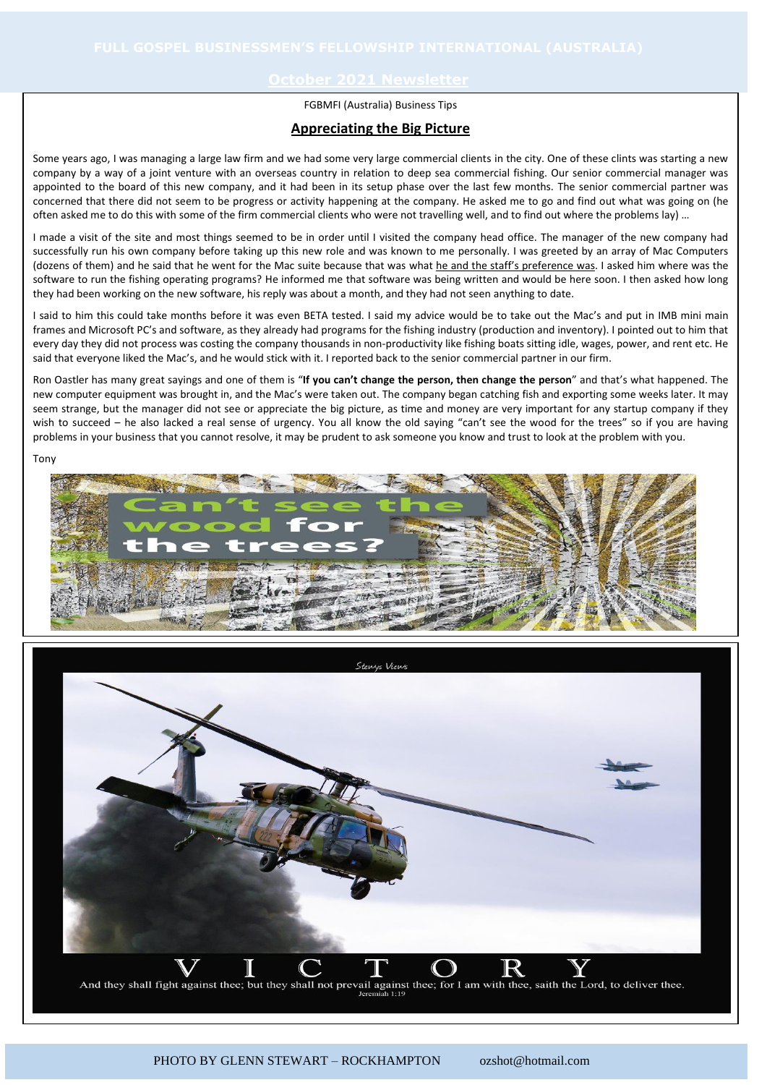### FGBMFI (Australia) Business Tips

### **Appreciating the Big Picture**

Some years ago, I was managing a large law firm and we had some very large commercial clients in the city. One of these clints was starting a new company by a way of a joint venture with an overseas country in relation to deep sea commercial fishing. Our senior commercial manager was appointed to the board of this new company, and it had been in its setup phase over the last few months. The senior commercial partner was concerned that there did not seem to be progress or activity happening at the company. He asked me to go and find out what was going on (he often asked me to do this with some of the firm commercial clients who were not travelling well, and to find out where the problems lay) …

I made a visit of the site and most things seemed to be in order until I visited the company head office. The manager of the new company had successfully run his own company before taking up this new role and was known to me personally. I was greeted by an array of Mac Computers (dozens of them) and he said that he went for the Mac suite because that was what he and the staff's preference was. I asked him where was the software to run the fishing operating programs? He informed me that software was being written and would be here soon. I then asked how long they had been working on the new software, his reply was about a month, and they had not seen anything to date.

I said to him this could take months before it was even BETA tested. I said my advice would be to take out the Mac's and put in IMB mini main frames and Microsoft PC's and software, as they already had programs for the fishing industry (production and inventory). I pointed out to him that every day they did not process was costing the company thousands in non-productivity like fishing boats sitting idle, wages, power, and rent etc. He said that everyone liked the Mac's, and he would stick with it. I reported back to the senior commercial partner in our firm.

Ron Oastler has many great sayings and one of them is "**If you can't change the person, then change the person**" and that's what happened. The new computer equipment was brought in, and the Mac's were taken out. The company began catching fish and exporting some weeks later. It may seem strange, but the manager did not see or appreciate the big picture, as time and money are very important for any startup company if they wish to succeed – he also lacked a real sense of urgency. You all know the old saying "can't see the wood for the trees" so if you are having problems in your business that you cannot resolve, it may be prudent to ask someone you know and trust to look at the problem with you.

Tony